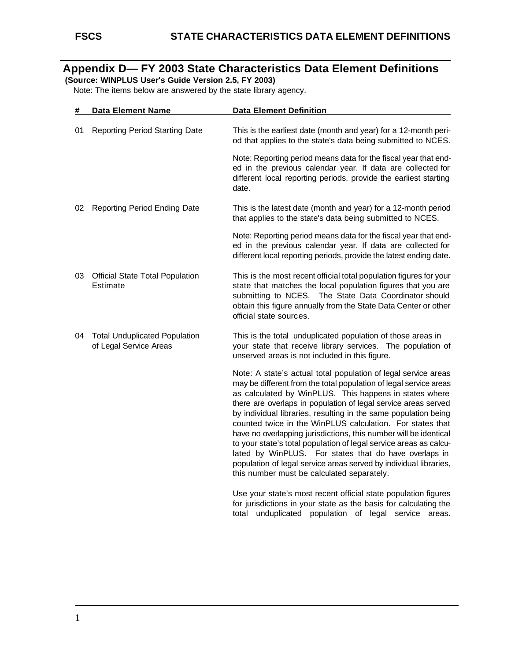# **Appendix D— FY 2003 State Characteristics Data Element Definitions**

 **(Source: WINPLUS User's Guide Version 2.5, FY 2003)** 

Note: The items below are answered by the state library agency.

| #  | <b>Data Element Name</b>                                       | <b>Data Element Definition</b>                                                                                                                                                                                                                                                                                                                                                                                                                                                                                                                                                                                                                                                                                       |
|----|----------------------------------------------------------------|----------------------------------------------------------------------------------------------------------------------------------------------------------------------------------------------------------------------------------------------------------------------------------------------------------------------------------------------------------------------------------------------------------------------------------------------------------------------------------------------------------------------------------------------------------------------------------------------------------------------------------------------------------------------------------------------------------------------|
| 01 | <b>Reporting Period Starting Date</b>                          | This is the earliest date (month and year) for a 12-month peri-<br>od that applies to the state's data being submitted to NCES.                                                                                                                                                                                                                                                                                                                                                                                                                                                                                                                                                                                      |
|    |                                                                | Note: Reporting period means data for the fiscal year that end-<br>ed in the previous calendar year. If data are collected for<br>different local reporting periods, provide the earliest starting<br>date.                                                                                                                                                                                                                                                                                                                                                                                                                                                                                                          |
| 02 | Reporting Period Ending Date                                   | This is the latest date (month and year) for a 12-month period<br>that applies to the state's data being submitted to NCES.                                                                                                                                                                                                                                                                                                                                                                                                                                                                                                                                                                                          |
|    |                                                                | Note: Reporting period means data for the fiscal year that end-<br>ed in the previous calendar year. If data are collected for<br>different local reporting periods, provide the latest ending date.                                                                                                                                                                                                                                                                                                                                                                                                                                                                                                                 |
|    | 03 Official State Total Population<br>Estimate                 | This is the most recent official total population figures for your<br>state that matches the local population figures that you are<br>submitting to NCES. The State Data Coordinator should<br>obtain this figure annually from the State Data Center or other<br>official state sources.                                                                                                                                                                                                                                                                                                                                                                                                                            |
| 04 | <b>Total Unduplicated Population</b><br>of Legal Service Areas | This is the total unduplicated population of those areas in<br>your state that receive library services. The population of<br>unserved areas is not included in this figure.                                                                                                                                                                                                                                                                                                                                                                                                                                                                                                                                         |
|    |                                                                | Note: A state's actual total population of legal service areas<br>may be different from the total population of legal service areas<br>as calculated by WinPLUS. This happens in states where<br>there are overlaps in population of legal service areas served<br>by individual libraries, resulting in the same population being<br>counted twice in the WinPLUS calculation. For states that<br>have no overlapping jurisdictions, this number will be identical<br>to your state's total population of legal service areas as calcu-<br>lated by WinPLUS. For states that do have overlaps in<br>population of legal service areas served by individual libraries,<br>this number must be calculated separately. |
|    |                                                                | Use your state's most recent official state population figures<br>for jurisdictions in your state as the basis for calculating the                                                                                                                                                                                                                                                                                                                                                                                                                                                                                                                                                                                   |

total unduplicated population of legal service areas.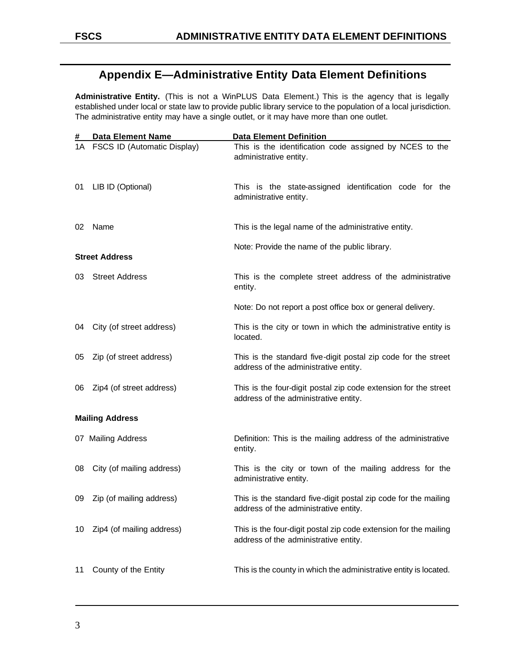## **Appendix E—Administrative Entity Data Element Definitions**

**Administrative Entity.** (This is not a WinPLUS Data Element.) This is the agency that is legally established under local or state law to provide public library service to the population of a local jurisdiction. The administrative entity may have a single outlet, or it may have more than one outlet.

| #   | <b>Data Element Name</b>       | <b>Data Element Definition</b>                                                                            |
|-----|--------------------------------|-----------------------------------------------------------------------------------------------------------|
|     | 1A FSCS ID (Automatic Display) | This is the identification code assigned by NCES to the<br>administrative entity.                         |
| 01  | LIB ID (Optional)              | This is the state-assigned identification code for the<br>administrative entity.                          |
| 02  | Name                           | This is the legal name of the administrative entity.                                                      |
|     | <b>Street Address</b>          | Note: Provide the name of the public library.                                                             |
| 03. | <b>Street Address</b>          | This is the complete street address of the administrative<br>entity.                                      |
|     |                                | Note: Do not report a post office box or general delivery.                                                |
| 04  | City (of street address)       | This is the city or town in which the administrative entity is<br>located.                                |
| 05  | Zip (of street address)        | This is the standard five-digit postal zip code for the street<br>address of the administrative entity.   |
| 06  | Zip4 (of street address)       | This is the four-digit postal zip code extension for the street<br>address of the administrative entity.  |
|     | <b>Mailing Address</b>         |                                                                                                           |
|     | 07 Mailing Address             | Definition: This is the mailing address of the administrative<br>entity.                                  |
| 08  | City (of mailing address)      | This is the city or town of the mailing address for the<br>administrative entity.                         |
| 09  | Zip (of mailing address)       | This is the standard five-digit postal zip code for the mailing<br>address of the administrative entity.  |
| 10  | Zip4 (of mailing address)      | This is the four-digit postal zip code extension for the mailing<br>address of the administrative entity. |
| 11  | County of the Entity           | This is the county in which the administrative entity is located.                                         |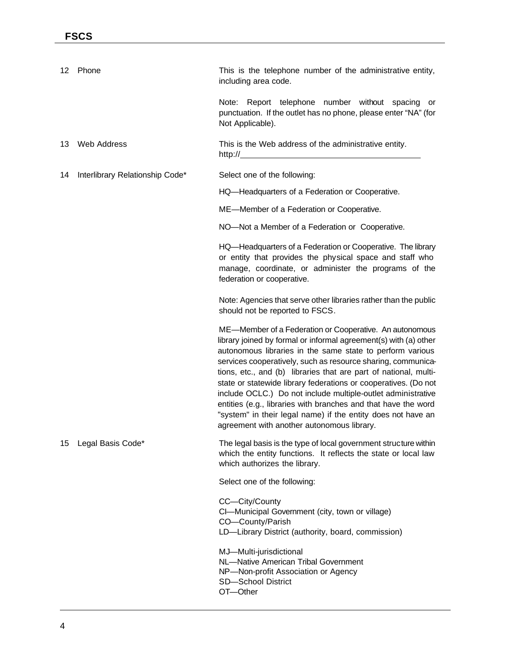| 12. | Phone                           | This is the telephone number of the administrative entity,<br>including area code.                                                                                                                                                                                                                                                                                                                                                                                                                                                                                                                                                              |
|-----|---------------------------------|-------------------------------------------------------------------------------------------------------------------------------------------------------------------------------------------------------------------------------------------------------------------------------------------------------------------------------------------------------------------------------------------------------------------------------------------------------------------------------------------------------------------------------------------------------------------------------------------------------------------------------------------------|
|     |                                 | Note: Report telephone number without spacing<br>or<br>punctuation. If the outlet has no phone, please enter "NA" (for<br>Not Applicable).                                                                                                                                                                                                                                                                                                                                                                                                                                                                                                      |
| 13  | <b>Web Address</b>              | This is the Web address of the administrative entity.<br>http:// $\sqrt{ }$                                                                                                                                                                                                                                                                                                                                                                                                                                                                                                                                                                     |
| 14  | Interlibrary Relationship Code* | Select one of the following:                                                                                                                                                                                                                                                                                                                                                                                                                                                                                                                                                                                                                    |
|     |                                 | HQ-Headquarters of a Federation or Cooperative.                                                                                                                                                                                                                                                                                                                                                                                                                                                                                                                                                                                                 |
|     |                                 | ME-Member of a Federation or Cooperative.                                                                                                                                                                                                                                                                                                                                                                                                                                                                                                                                                                                                       |
|     |                                 | NO-Not a Member of a Federation or Cooperative.                                                                                                                                                                                                                                                                                                                                                                                                                                                                                                                                                                                                 |
|     |                                 | HQ—Headquarters of a Federation or Cooperative. The library<br>or entity that provides the physical space and staff who<br>manage, coordinate, or administer the programs of the<br>federation or cooperative.                                                                                                                                                                                                                                                                                                                                                                                                                                  |
|     |                                 | Note: Agencies that serve other libraries rather than the public<br>should not be reported to FSCS.                                                                                                                                                                                                                                                                                                                                                                                                                                                                                                                                             |
|     |                                 | ME-Member of a Federation or Cooperative. An autonomous<br>library joined by formal or informal agreement(s) with (a) other<br>autonomous libraries in the same state to perform various<br>services cooperatively, such as resource sharing, communica-<br>tions, etc., and (b) libraries that are part of national, multi-<br>state or statewide library federations or cooperatives. (Do not<br>include OCLC.) Do not include multiple-outlet administrative<br>entities (e.g., libraries with branches and that have the word<br>"system" in their legal name) if the entity does not have an<br>agreement with another autonomous library. |
| 15  | Legal Basis Code*               | The legal basis is the type of local government structure within<br>which the entity functions. It reflects the state or local law<br>which authorizes the library.                                                                                                                                                                                                                                                                                                                                                                                                                                                                             |
|     |                                 | Select one of the following:                                                                                                                                                                                                                                                                                                                                                                                                                                                                                                                                                                                                                    |
|     |                                 | CC-City/County<br>CI-Municipal Government (city, town or village)<br>CO-County/Parish<br>LD-Library District (authority, board, commission)                                                                                                                                                                                                                                                                                                                                                                                                                                                                                                     |
|     |                                 | MJ-Multi-jurisdictional<br>NL-Native American Tribal Government<br>NP-Non-profit Association or Agency<br><b>SD-School District</b><br>OT-Other                                                                                                                                                                                                                                                                                                                                                                                                                                                                                                 |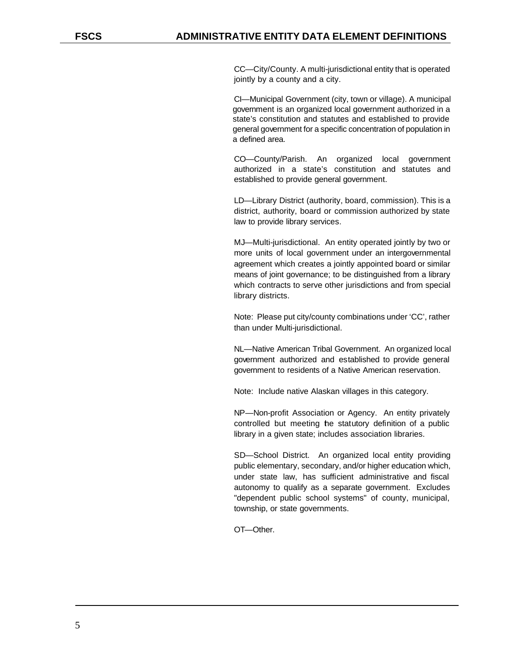CC—City/County. A multi-jurisdictional entity that is operated jointly by a county and a city.

CI—Municipal Government (city, town or village). A municipal government is an organized local government authorized in a state's constitution and statutes and established to provide general government for a specific concentration of population in a defined area.

CO—County/Parish. An organized local government authorized in a state's constitution and statutes and established to provide general government.

LD—Library District (authority, board, commission). This is a district, authority, board or commission authorized by state law to provide library services.

MJ—Multi-jurisdictional. An entity operated jointly by two or more units of local government under an intergovernmental agreement which creates a jointly appointed board or similar means of joint governance; to be distinguished from a library which contracts to serve other jurisdictions and from special library districts.

Note: Please put city/county combinations under 'CC', rather than under Multi-jurisdictional.

NL—Native American Tribal Government. An organized local government authorized and established to provide general government to residents of a Native American reservation.

Note: Include native Alaskan villages in this category.

NP—Non-profit Association or Agency. An entity privately controlled but meeting the statutory definition of a public library in a given state; includes association libraries.

SD—School District. An organized local entity providing public elementary, secondary, and/or higher education which, under state law, has sufficient administrative and fiscal autonomy to qualify as a separate government. Excludes "dependent public school systems" of county, municipal, township, or state governments.

OT—Other.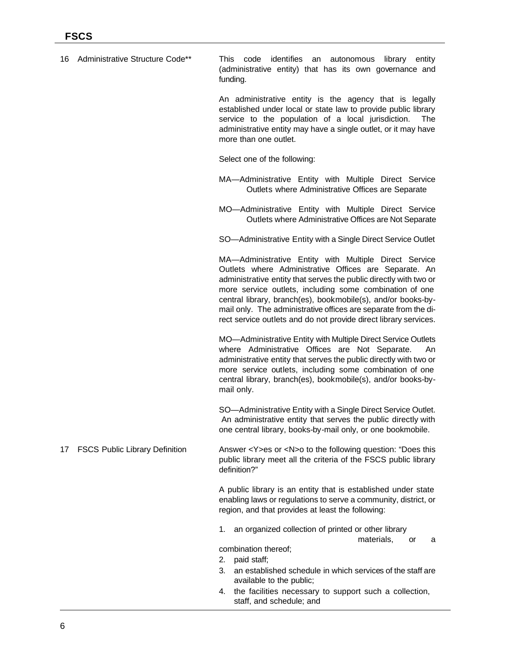| 16 | Administrative Structure Code**       | identifies an autonomous<br>code<br>library entity<br>This<br>(administrative entity) that has its own governance and<br>funding.                                                                                                                                                                                                                                                                                                                     |
|----|---------------------------------------|-------------------------------------------------------------------------------------------------------------------------------------------------------------------------------------------------------------------------------------------------------------------------------------------------------------------------------------------------------------------------------------------------------------------------------------------------------|
|    |                                       | An administrative entity is the agency that is legally<br>established under local or state law to provide public library<br>service to the population of a local jurisdiction.<br>The<br>administrative entity may have a single outlet, or it may have<br>more than one outlet.                                                                                                                                                                      |
|    |                                       | Select one of the following:                                                                                                                                                                                                                                                                                                                                                                                                                          |
|    |                                       | MA-Administrative Entity with Multiple Direct Service<br>Outlets where Administrative Offices are Separate                                                                                                                                                                                                                                                                                                                                            |
|    |                                       | MO-Administrative Entity with Multiple Direct Service<br>Outlets where Administrative Offices are Not Separate                                                                                                                                                                                                                                                                                                                                        |
|    |                                       | SO-Administrative Entity with a Single Direct Service Outlet                                                                                                                                                                                                                                                                                                                                                                                          |
|    |                                       | MA-Administrative Entity with Multiple Direct Service<br>Outlets where Administrative Offices are Separate. An<br>administrative entity that serves the public directly with two or<br>more service outlets, including some combination of one<br>central library, branch(es), bookmobile(s), and/or books-by-<br>mail only. The administrative offices are separate from the di-<br>rect service outlets and do not provide direct library services. |
|    |                                       | MO-Administrative Entity with Multiple Direct Service Outlets<br>where Administrative Offices are Not Separate.<br>An<br>administrative entity that serves the public directly with two or<br>more service outlets, including some combination of one<br>central library, branch(es), bookmobile(s), and/or books-by-<br>mail only.                                                                                                                   |
|    |                                       | SO-Administrative Entity with a Single Direct Service Outlet.<br>An administrative entity that serves the public directly with<br>one central library, books-by-mail only, or one bookmobile.                                                                                                                                                                                                                                                         |
| 17 | <b>FSCS Public Library Definition</b> | Answer <y>es or <n>o to the following question: "Does this<br/>public library meet all the criteria of the FSCS public library<br/>definition?"</n></y>                                                                                                                                                                                                                                                                                               |
|    |                                       | A public library is an entity that is established under state<br>enabling laws or regulations to serve a community, district, or<br>region, and that provides at least the following:                                                                                                                                                                                                                                                                 |
|    |                                       | an organized collection of printed or other library<br>1.<br>materials,<br>or<br>а                                                                                                                                                                                                                                                                                                                                                                    |
|    |                                       | combination thereof;                                                                                                                                                                                                                                                                                                                                                                                                                                  |
|    |                                       | paid staff;<br>2.<br>3.<br>an established schedule in which services of the staff are                                                                                                                                                                                                                                                                                                                                                                 |
|    |                                       | available to the public;<br>the facilities necessary to support such a collection,<br>4.<br>staff, and schedule; and                                                                                                                                                                                                                                                                                                                                  |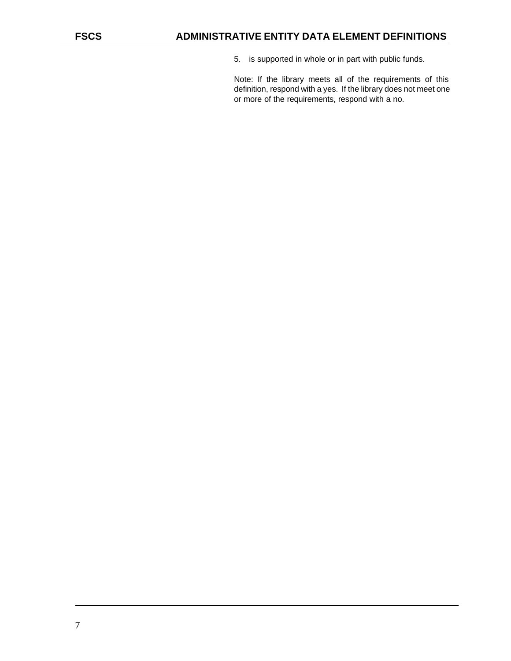5. is supported in whole or in part with public funds.

Note: If the library meets all of the requirements of this definition, respond with a yes. If the library does not meet one or more of the requirements, respond with a no.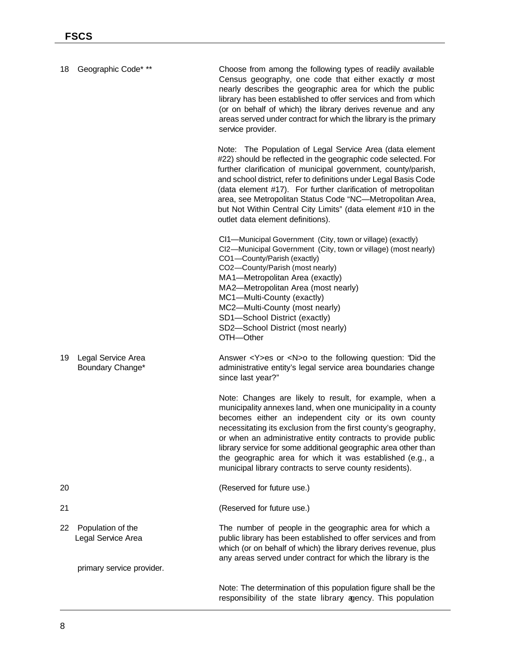| 18 | Geographic Code* **                     | Choose from among the following types of readily available<br>Census geography, one code that either exactly or most<br>nearly describes the geographic area for which the public<br>library has been established to offer services and from which<br>(or on behalf of which) the library derives revenue and any<br>areas served under contract for which the library is the primary<br>service provider.                                                                                                  |
|----|-----------------------------------------|-------------------------------------------------------------------------------------------------------------------------------------------------------------------------------------------------------------------------------------------------------------------------------------------------------------------------------------------------------------------------------------------------------------------------------------------------------------------------------------------------------------|
|    |                                         | Note: The Population of Legal Service Area (data element<br>#22) should be reflected in the geographic code selected. For<br>further clarification of municipal government, county/parish,<br>and school district, refer to definitions under Legal Basis Code<br>(data element #17). For further clarification of metropolitan<br>area, see Metropolitan Status Code "NC-Metropolitan Area,<br>but Not Within Central City Limits" (data element #10 in the<br>outlet data element definitions).           |
|    |                                         | CI1-Municipal Government (City, town or village) (exactly)<br>CI2-Municipal Government (City, town or village) (most nearly)<br>CO1-County/Parish (exactly)<br>CO2-County/Parish (most nearly)<br>MA1-Metropolitan Area (exactly)<br>MA2-Metropolitan Area (most nearly)<br>MC1-Multi-County (exactly)<br>MC2-Multi-County (most nearly)<br>SD1-School District (exactly)<br>SD2-School District (most nearly)<br>OTH-Other                                                                                 |
| 19 | Legal Service Area<br>Boundary Change*  | Answer <y>es or <n>o to the following question: 'Did the<br/>administrative entity's legal service area boundaries change<br/>since last year?"</n></y>                                                                                                                                                                                                                                                                                                                                                     |
|    |                                         | Note: Changes are likely to result, for example, when a<br>municipality annexes land, when one municipality in a county<br>becomes either an independent city or its own county<br>necessitating its exclusion from the first county's geography,<br>or when an administrative entity contracts to provide public<br>library service for some additional geographic area other than<br>the geographic area for which it was established (e.g., a<br>municipal library contracts to serve county residents). |
| 20 |                                         | (Reserved for future use.)                                                                                                                                                                                                                                                                                                                                                                                                                                                                                  |
| 21 |                                         | (Reserved for future use.)                                                                                                                                                                                                                                                                                                                                                                                                                                                                                  |
| 22 | Population of the<br>Legal Service Area | The number of people in the geographic area for which a<br>public library has been established to offer services and from<br>which (or on behalf of which) the library derives revenue, plus<br>any areas served under contract for which the library is the                                                                                                                                                                                                                                                |
|    | primary service provider.               |                                                                                                                                                                                                                                                                                                                                                                                                                                                                                                             |
|    |                                         | Note: The determination of this population figure shall be the<br>responsibility of the state library agency. This population                                                                                                                                                                                                                                                                                                                                                                               |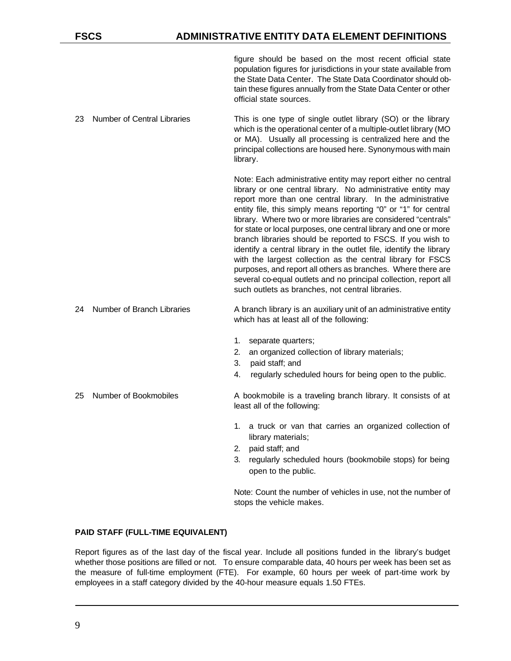## **FSCS ADMINISTRATIVE ENTITY DATA ELEMENT DEFINITIONS**

figure should be based on the most recent official state population figures for jurisdictions in your state available from the State Data Center. The State Data Coordinator should obtain these figures annually from the State Data Center or other official state sources.

23 Number of Central Libraries This is one type of single outlet library (SO) or the library which is the operational center of a multiple-outlet library (MO or MA). Usually all processing is centralized here and the principal collections are housed here. Synonymous with main library.

> Note: Each administrative entity may report either no central library or one central library. No administrative entity may report more than one central library. In the administrative entity file, this simply means reporting "0" or "1" for central library. Where two or more libraries are considered "centrals" for state or local purposes, one central library and one or more branch libraries should be reported to FSCS. If you wish to identify a central library in the outlet file, identify the library with the largest collection as the central library for FSCS purposes, and report all others as branches. Where there are several co-equal outlets and no principal collection, report all such outlets as branches, not central libraries.

#### 24 Number of Branch Libraries A branch library is an auxiliary unit of an administrative entity which has at least all of the following:

- 1. separate quarters;
- 2. an organized collection of library materials;
- 3. paid staff; and
- 4. regularly scheduled hours for being open to the public.

25 Number of Bookmobiles A bookmobile is a traveling branch library. It consists of at least all of the following:

- 1. a truck or van that carries an organized collection of library materials;
- 2. paid staff; and
- 3. regularly scheduled hours (bookmobile stops) for being open to the public.

Note: Count the number of vehicles in use, not the number of stops the vehicle makes.

## **PAID STAFF (FULL-TIME EQUIVALENT)**

Report figures as of the last day of the fiscal year. Include all positions funded in the library's budget whether those positions are filled or not. To ensure comparable data, 40 hours per week has been set as the measure of full-time employment (FTE). For example, 60 hours per week of part-time work by employees in a staff category divided by the 40-hour measure equals 1.50 FTEs.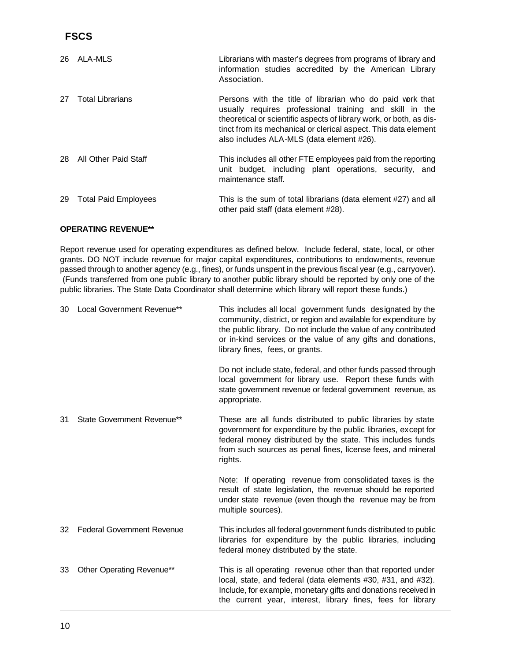| 26 | ALA-MLS                     | Librarians with master's degrees from programs of library and<br>information studies accredited by the American Library<br>Association.                                                                                                                                                                     |
|----|-----------------------------|-------------------------------------------------------------------------------------------------------------------------------------------------------------------------------------------------------------------------------------------------------------------------------------------------------------|
| 27 | <b>Total Librarians</b>     | Persons with the title of librarian who do paid work that<br>usually requires professional training and skill in the<br>theoretical or scientific aspects of library work, or both, as dis-<br>tinct from its mechanical or clerical aspect. This data element<br>also includes ALA-MLS (data element #26). |
| 28 | All Other Paid Staff        | This includes all other FTE employees paid from the reporting<br>unit budget, including plant operations, security, and<br>maintenance staff.                                                                                                                                                               |
| 29 | <b>Total Paid Employees</b> | This is the sum of total librarians (data element #27) and all<br>other paid staff (data element #28).                                                                                                                                                                                                      |

#### **OPERATING REVENUE\*\***

Report revenue used for operating expenditures as defined below. Include federal, state, local, or other grants. DO NOT include revenue for major capital expenditures, contributions to endowments, revenue passed through to another agency (e.g., fines), or funds unspent in the previous fiscal year (e.g., carryover). (Funds transferred from one public library to another public library should be reported by only one of the public libraries. The State Data Coordinator shall determine which library will report these funds.)

| 30 | Local Government Revenue**        | This includes all local government funds designated by the<br>community, district, or region and available for expenditure by<br>the public library. Do not include the value of any contributed<br>or in-kind services or the value of any gifts and donations,<br>library fines, fees, or grants. |
|----|-----------------------------------|-----------------------------------------------------------------------------------------------------------------------------------------------------------------------------------------------------------------------------------------------------------------------------------------------------|
|    |                                   | Do not include state, federal, and other funds passed through<br>local government for library use. Report these funds with<br>state government revenue or federal government revenue, as<br>appropriate.                                                                                            |
| 31 | State Government Revenue**        | These are all funds distributed to public libraries by state<br>government for expenditure by the public libraries, except for<br>federal money distributed by the state. This includes funds<br>from such sources as penal fines, license fees, and mineral<br>rights.                             |
|    |                                   | Note: If operating revenue from consolidated taxes is the<br>result of state legislation, the revenue should be reported<br>under state revenue (even though the revenue may be from<br>multiple sources).                                                                                          |
| 32 | <b>Federal Government Revenue</b> | This includes all federal government funds distributed to public<br>libraries for expenditure by the public libraries, including<br>federal money distributed by the state.                                                                                                                         |
| 33 | Other Operating Revenue**         | This is all operating revenue other than that reported under<br>local, state, and federal (data elements #30, #31, and #32).<br>Include, for example, monetary gifts and donations received in<br>the current year, interest, library fines, fees for library                                       |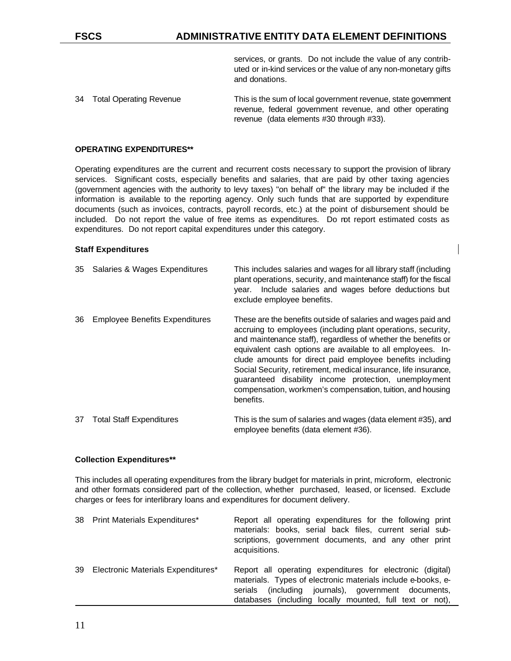services, or grants. Do not include the value of any contributed or in-kind services or the value of any non-monetary gifts and donations.

34 Total Operating Revenue This is the sum of local government revenue, state government revenue, federal government revenue, and other operating revenue (data elements #30 through #33).

#### **OPERATING EXPENDITURES\*\***

Operating expenditures are the current and recurrent costs necessary to support the provision of library services. Significant costs, especially benefits and salaries, that are paid by other taxing agencies (government agencies with the authority to levy taxes) "on behalf of" the library may be included if the information is available to the reporting agency. Only such funds that are supported by expenditure documents (such as invoices, contracts, payroll records, etc.) at the point of disbursement should be included. Do not report the value of free items as expenditures. Do not report estimated costs as expenditures. Do not report capital expenditures under this category.

#### **Staff Expenditures**

| 35 | Salaries & Wages Expenditures         | This includes salaries and wages for all library staff (including<br>plant operations, security, and maintenance staff) for the fiscal<br>Include salaries and wages before deductions but<br>vear.<br>exclude employee benefits.                                                                                                                                                                                                                                                                                                 |
|----|---------------------------------------|-----------------------------------------------------------------------------------------------------------------------------------------------------------------------------------------------------------------------------------------------------------------------------------------------------------------------------------------------------------------------------------------------------------------------------------------------------------------------------------------------------------------------------------|
| 36 | <b>Employee Benefits Expenditures</b> | These are the benefits outside of salaries and wages paid and<br>accruing to employees (including plant operations, security,<br>and maintenance staff), regardless of whether the benefits or<br>equivalent cash options are available to all employees. In-<br>clude amounts for direct paid employee benefits including<br>Social Security, retirement, medical insurance, life insurance,<br>guaranteed disability income protection, unemployment<br>compensation, workmen's compensation, tuition, and housing<br>benefits. |
| 37 | <b>Total Staff Expenditures</b>       | This is the sum of salaries and wages (data element #35), and                                                                                                                                                                                                                                                                                                                                                                                                                                                                     |

#### **Collection Expenditures\*\***

This includes all operating expenditures from the library budget for materials in print, microform, electronic and other formats considered part of the collection, whether purchased, leased, or licensed. Exclude charges or fees for interlibrary loans and expenditures for document delivery.

employee benefits (data element #36).

| 38 Print Materials Expenditures*      | Report all operating expenditures for the following print<br>materials: books, serial back files, current serial sub-<br>scriptions, government documents, and any other print<br>acquisitions.                                                  |
|---------------------------------------|--------------------------------------------------------------------------------------------------------------------------------------------------------------------------------------------------------------------------------------------------|
| 39 Electronic Materials Expenditures* | Report all operating expenditures for electronic (digital)<br>materials. Types of electronic materials include e-books, e-<br>(including journals), government documents,<br>serials<br>databases (including locally mounted, full text or not), |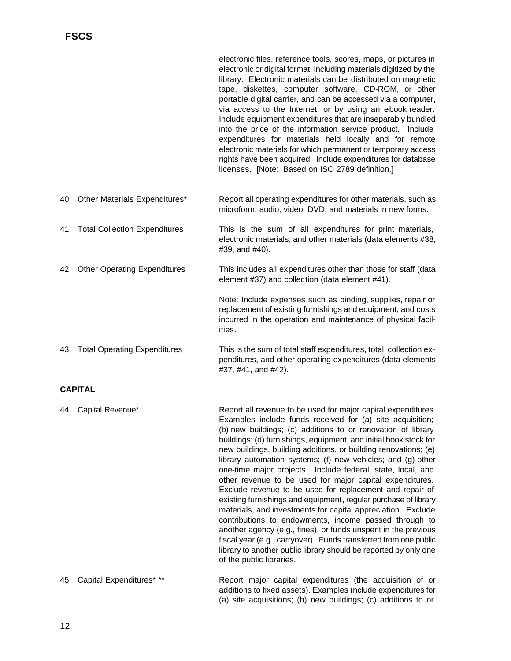|    |                                      | electronic files, reference tools, scores, maps, or pictures in<br>electronic or digital format, including materials digitized by the<br>library. Electronic materials can be distributed on magnetic<br>tape, diskettes, computer software, CD-ROM, or other<br>portable digital carrier, and can be accessed via a computer,<br>via access to the Internet, or by using an ebook reader.<br>Include equipment expenditures that are inseparably bundled<br>into the price of the information service product. Include<br>expenditures for materials held locally and for remote<br>electronic materials for which permanent or temporary access<br>rights have been acquired. Include expenditures for database<br>licenses. [Note: Based on ISO 2789 definition.] |
|----|--------------------------------------|----------------------------------------------------------------------------------------------------------------------------------------------------------------------------------------------------------------------------------------------------------------------------------------------------------------------------------------------------------------------------------------------------------------------------------------------------------------------------------------------------------------------------------------------------------------------------------------------------------------------------------------------------------------------------------------------------------------------------------------------------------------------|
| 40 | Other Materials Expenditures*        | Report all operating expenditures for other materials, such as<br>microform, audio, video, DVD, and materials in new forms.                                                                                                                                                                                                                                                                                                                                                                                                                                                                                                                                                                                                                                          |
| 41 | <b>Total Collection Expenditures</b> | This is the sum of all expenditures for print materials,<br>electronic materials, and other materials (data elements #38,<br>#39, and #40).                                                                                                                                                                                                                                                                                                                                                                                                                                                                                                                                                                                                                          |
| 42 | <b>Other Operating Expenditures</b>  | This includes all expenditures other than those for staff (data<br>element #37) and collection (data element #41).                                                                                                                                                                                                                                                                                                                                                                                                                                                                                                                                                                                                                                                   |
|    |                                      | Note: Include expenses such as binding, supplies, repair or<br>replacement of existing furnishings and equipment, and costs<br>incurred in the operation and maintenance of physical facil-<br>ities.                                                                                                                                                                                                                                                                                                                                                                                                                                                                                                                                                                |
| 43 | <b>Total Operating Expenditures</b>  | This is the sum of total staff expenditures, total collection ex-<br>penditures, and other operating expenditures (data elements<br>#37, #41, and #42).                                                                                                                                                                                                                                                                                                                                                                                                                                                                                                                                                                                                              |
|    | <b>CAPITAL</b>                       |                                                                                                                                                                                                                                                                                                                                                                                                                                                                                                                                                                                                                                                                                                                                                                      |
| 44 | Capital Revenue*                     | Report all revenue to be used for major capital expenditures.<br>Examples include funds received for (a) site acquisition;<br>(b) new buildings; (c) additions to or renovation of library<br>buildings; (d) furnishings, equipment, and initial book stock for<br>new buildings, building additions, or building renovations; (e)<br>library automation systems; (f) new vehicles; and (g) other                                                                                                                                                                                                                                                                                                                                                                    |

contributions to endowments, income passed through to another agency (e.g., fines), or funds unspent in the previous fiscal year (e.g., carryover). Funds transferred from one public library to another public library should be reported by only one of the public libraries. 45 Capital Expenditures\* \*\* Report major capital expenditures (the acquisition of or additions to fixed assets). Examples include expenditures for (a) site acquisitions; (b) new buildings; (c) additions to or

one-time major projects. Include federal, state, local, and other revenue to be used for major capital expenditures. Exclude revenue to be used for replacement and repair of existing furnishings and equipment, regular purchase of library materials, and investments for capital appreciation. Exclude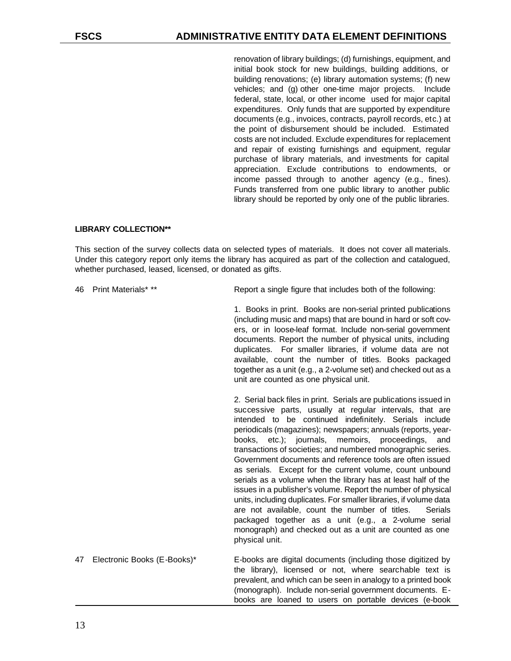renovation of library buildings; (d) furnishings, equipment, and initial book stock for new buildings, building additions, or building renovations; (e) library automation systems; (f) new vehicles; and (g) other one-time major projects. Include federal, state, local, or other income used for major capital expenditures. Only funds that are supported by expenditure documents (e.g., invoices, contracts, payroll records, etc.) at the point of disbursement should be included. Estimated costs are not included. Exclude expenditures for replacement and repair of existing furnishings and equipment, regular purchase of library materials, and investments for capital appreciation. Exclude contributions to endowments, or income passed through to another agency (e.g., fines). Funds transferred from one public library to another public library should be reported by only one of the public libraries.

#### **LIBRARY COLLECTION\*\***

This section of the survey collects data on selected types of materials. It does not cover all materials. Under this category report only items the library has acquired as part of the collection and catalogued, whether purchased, leased, licensed, or donated as gifts.

46 Print Materials\* \*\* Report a single figure that includes both of the following:

1. Books in print. Books are non-serial printed publications (including music and maps) that are bound in hard or soft covers, or in loose-leaf format. Include non-serial government documents. Report the number of physical units, including duplicates. For smaller libraries, if volume data are not available, count the number of titles. Books packaged together as a unit (e.g., a 2-volume set) and checked out as a unit are counted as one physical unit.

2. Serial back files in print. Serials are publications issued in successive parts, usually at regular intervals, that are intended to be continued indefinitely. Serials include periodicals (magazines); newspapers; annuals (reports, yearbooks, etc.); journals, memoirs, proceedings, and transactions of societies; and numbered monographic series. Government documents and reference tools are often issued as serials. Except for the current volume, count unbound serials as a volume when the library has at least half of the issues in a publisher's volume. Report the number of physical units, including duplicates. For smaller libraries, if volume data are not available, count the number of titles. Serials packaged together as a unit (e.g., a 2-volume serial monograph) and checked out as a unit are counted as one physical unit.

47 Electronic Books (E-Books)\* E-books are digital documents (including those digitized by the library), licensed or not, where searchable text is prevalent, and which can be seen in analogy to a printed book (monograph). Include non-serial government documents. Ebooks are loaned to users on portable devices (e-book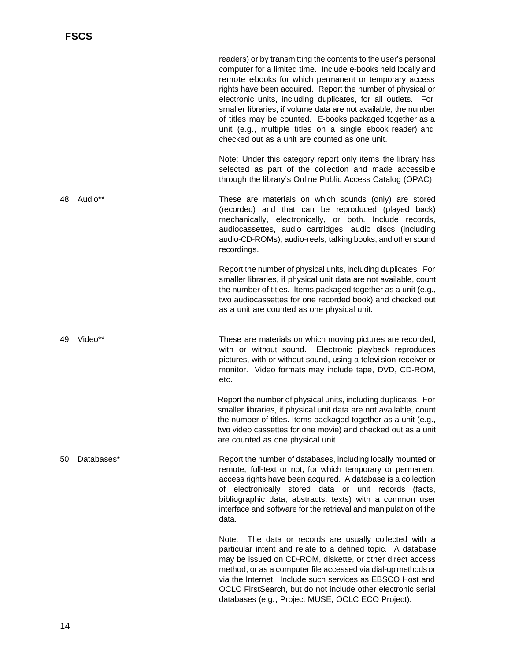|    |            | readers) or by transmitting the contents to the user's personal<br>computer for a limited time. Include e-books held locally and<br>remote ebooks for which permanent or temporary access<br>rights have been acquired. Report the number of physical or<br>electronic units, including duplicates, for all outlets. For<br>smaller libraries, if volume data are not available, the number<br>of titles may be counted. E-books packaged together as a<br>unit (e.g., multiple titles on a single ebook reader) and<br>checked out as a unit are counted as one unit. |
|----|------------|------------------------------------------------------------------------------------------------------------------------------------------------------------------------------------------------------------------------------------------------------------------------------------------------------------------------------------------------------------------------------------------------------------------------------------------------------------------------------------------------------------------------------------------------------------------------|
|    |            | Note: Under this category report only items the library has<br>selected as part of the collection and made accessible<br>through the library's Online Public Access Catalog (OPAC).                                                                                                                                                                                                                                                                                                                                                                                    |
| 48 | Audio**    | These are materials on which sounds (only) are stored<br>(recorded) and that can be reproduced (played back)<br>mechanically, electronically, or both. Include records,<br>audiocassettes, audio cartridges, audio discs (including<br>audio-CD-ROMs), audio-reels, talking books, and other sound<br>recordings.                                                                                                                                                                                                                                                      |
|    |            | Report the number of physical units, including duplicates. For<br>smaller libraries, if physical unit data are not available, count<br>the number of titles. Items packaged together as a unit (e.g.,<br>two audiocassettes for one recorded book) and checked out<br>as a unit are counted as one physical unit.                                                                                                                                                                                                                                                      |
| 49 | Video**    | These are materials on which moving pictures are recorded,<br>with or without sound. Electronic playback reproduces<br>pictures, with or without sound, using a televi sion receiver or<br>monitor. Video formats may include tape, DVD, CD-ROM,<br>etc.                                                                                                                                                                                                                                                                                                               |
|    |            | Report the number of physical units, including duplicates. For<br>smaller libraries, if physical unit data are not available, count<br>the number of titles. Items packaged together as a unit (e.g.,<br>two video cassettes for one movie) and checked out as a unit<br>are counted as one physical unit.                                                                                                                                                                                                                                                             |
| 50 | Databases* | Report the number of databases, including locally mounted or<br>remote, full-text or not, for which temporary or permanent<br>access rights have been acquired. A database is a collection<br>of electronically stored data or unit records (facts,<br>bibliographic data, abstracts, texts) with a common user<br>interface and software for the retrieval and manipulation of the<br>data.                                                                                                                                                                           |
|    |            | The data or records are usually collected with a<br>Note:<br>particular intent and relate to a defined topic. A database<br>may be issued on CD-ROM, diskette, or other direct access<br>method, or as a computer file accessed via dial-up methods or<br>via the Internet. Include such services as EBSCO Host and<br>OCLC FirstSearch, but do not include other electronic serial<br>databases (e.g., Project MUSE, OCLC ECO Project).                                                                                                                               |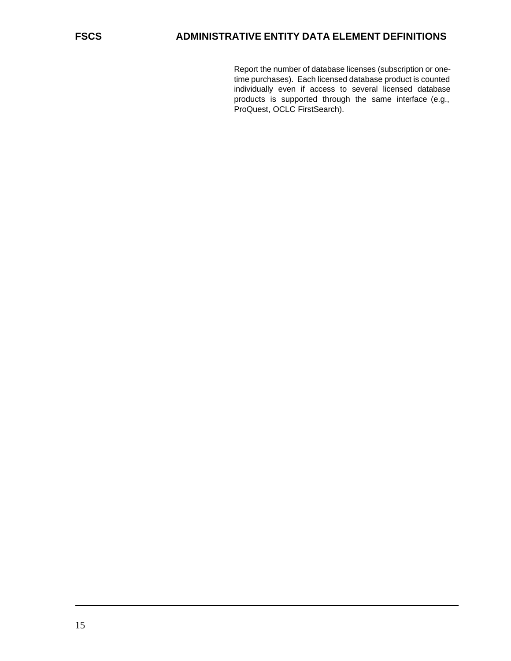Report the number of database licenses (subscription or onetime purchases). Each licensed database product is counted individually even if access to several licensed database products is supported through the same interface (e.g., ProQuest, OCLC FirstSearch).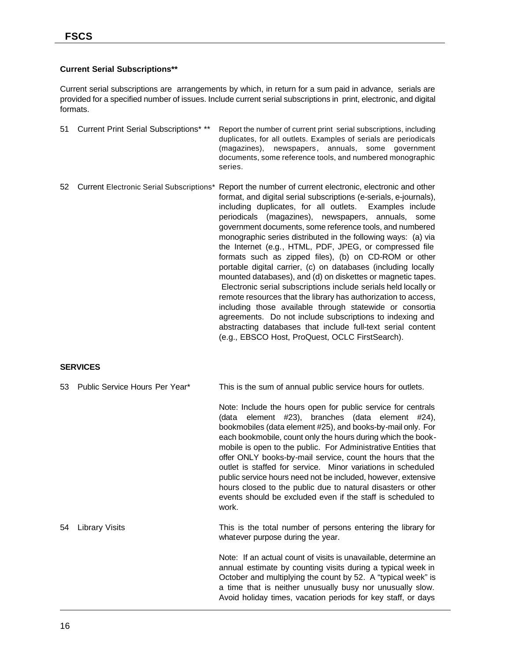## **Current Serial Subscriptions\*\***

Current serial subscriptions are arrangements by which, in return for a sum paid in advance, serials are provided for a specified number of issues. Include current serial subscriptions in print, electronic, and digital formats.

| 51 - | Current Print Serial Subscriptions* ** | Report the number of current print serial subscriptions, including<br>duplicates, for all outlets. Examples of serials are periodicals<br>(magazines), newspapers, annuals, some government<br>documents, some reference tools, and numbered monographic<br>series.                                                                                                                                                                                                                                                                                                                                                                                                                                                                                                                                                                                                            |
|------|----------------------------------------|--------------------------------------------------------------------------------------------------------------------------------------------------------------------------------------------------------------------------------------------------------------------------------------------------------------------------------------------------------------------------------------------------------------------------------------------------------------------------------------------------------------------------------------------------------------------------------------------------------------------------------------------------------------------------------------------------------------------------------------------------------------------------------------------------------------------------------------------------------------------------------|
| 52.  |                                        | Current Electronic Serial Subscriptions* Report the number of current electronic, electronic and other<br>format, and digital serial subscriptions (e-serials, e-journals),<br>including duplicates, for all outlets. Examples include<br>periodicals (magazines), newspapers, annuals, some<br>government documents, some reference tools, and numbered<br>monographic series distributed in the following ways: (a) via<br>the Internet (e.g., HTML, PDF, JPEG, or compressed file<br>formats such as zipped files), (b) on CD-ROM or other<br>portable digital carrier, (c) on databases (including locally<br>mounted databases), and (d) on diskettes or magnetic tapes.<br>Electronic serial subscriptions include serials held locally or<br>remote resources that the library has authorization to access,<br>including those available through statewide or consortia |

agreements. Do not include subscriptions to indexing and abstracting databases that include full-text serial content (e.g., EBSCO Host, ProQuest, OCLC FirstSearch).

## **SERVICES**

| 53 | Public Service Hours Per Year* | This is the sum of annual public service hours for outlets.                                                                                                                                                                                                                                                                                                                                                                                                                                                                                                                                                                                              |
|----|--------------------------------|----------------------------------------------------------------------------------------------------------------------------------------------------------------------------------------------------------------------------------------------------------------------------------------------------------------------------------------------------------------------------------------------------------------------------------------------------------------------------------------------------------------------------------------------------------------------------------------------------------------------------------------------------------|
|    |                                | Note: Include the hours open for public service for centrals<br>(data element #23), branches (data element #24),<br>bookmobiles (data element #25), and books-by-mail only. For<br>each bookmobile, count only the hours during which the book-<br>mobile is open to the public. For Administrative Entities that<br>offer ONLY books-by-mail service, count the hours that the<br>outlet is staffed for service. Minor variations in scheduled<br>public service hours need not be included, however, extensive<br>hours closed to the public due to natural disasters or other<br>events should be excluded even if the staff is scheduled to<br>work. |
| 54 | <b>Library Visits</b>          | This is the total number of persons entering the library for<br>whatever purpose during the year.                                                                                                                                                                                                                                                                                                                                                                                                                                                                                                                                                        |
|    |                                | Note: If an actual count of visits is unavailable, determine an<br>annual estimate by counting visits during a typical week in<br>October and multiplying the count by 52. A "typical week" is<br>a time that is neither unusually busy nor unusually slow.<br>Avoid holiday times, vacation periods for key staff, or days                                                                                                                                                                                                                                                                                                                              |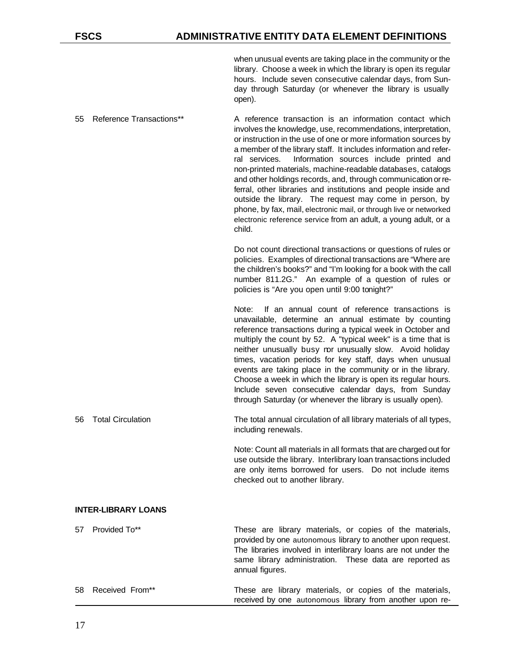when unusual events are taking place in the community or the library. Choose a week in which the library is open its regular hours. Include seven consecutive calendar days, from Sunday through Saturday (or whenever the library is usually open).

- 55 Reference Transactions\*\* A reference transaction is an information contact which involves the knowledge, use, recommendations, interpretation, or instruction in the use of one or more information sources by a member of the library staff. It includes information and referral services. Information sources include printed and non-printed materials, machine-readable databases, catalogs and other holdings records, and, through communication or referral, other libraries and institutions and people inside and outside the library. The request may come in person, by phone, by fax, mail, electronic mail, or through live or networked electronic reference service from an adult, a young adult, or a child. Do not count directional transactions or questions of rules or policies. Examples of directional transactions are "Where are the children's books?" and "I'm looking for a book with the call number 811.2G." An example of a question of rules or policies is "Are you open until 9:00 tonight?" Note: If an annual count of reference transactions is unavailable, determine an annual estimate by counting reference transactions during a typical week in October and multiply the count by 52. A "typical week" is a time that is neither unusually busy nor unusually slow. Avoid holiday times, vacation periods for key staff, days when unusual events are taking place in the community or in the library.
	- Choose a week in which the library is open its regular hours. Include seven consecutive calendar days, from Sunday through Saturday (or whenever the library is usually open).
- 56 Total Circulation The total annual circulation of all library materials of all types, including renewals.

Note: Count all materials in all formats that are charged out for use outside the library. Interlibrary loan transactions included are only items borrowed for users. Do not include items checked out to another library.

received by one autonomous library from another upon re-

## **INTER-LIBRARY LOANS**

| 57 Provided To**   | These are library materials, or copies of the materials,<br>provided by one autonomous library to another upon request.<br>The libraries involved in interlibrary loans are not under the<br>same library administration. These data are reported as<br>annual figures. |
|--------------------|-------------------------------------------------------------------------------------------------------------------------------------------------------------------------------------------------------------------------------------------------------------------------|
| 58 Received From** | These are library materials, or copies of the materials,                                                                                                                                                                                                                |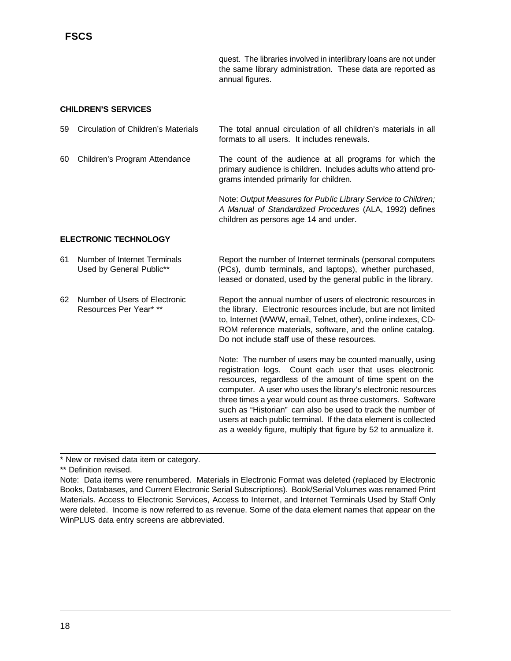quest. The libraries involved in interlibrary loans are not under the same library administration. These data are reported as annual figures.

#### **CHILDREN'S SERVICES**

| 59 | Circulation of Children's Materials                      | The total annual circulation of all children's materials in all<br>formats to all users. It includes renewals.                                                                                                                                                                                                                                                                                                                                                                                                      |  |  |  |
|----|----------------------------------------------------------|---------------------------------------------------------------------------------------------------------------------------------------------------------------------------------------------------------------------------------------------------------------------------------------------------------------------------------------------------------------------------------------------------------------------------------------------------------------------------------------------------------------------|--|--|--|
| 60 | Children's Program Attendance                            | The count of the audience at all programs for which the<br>primary audience is children. Includes adults who attend pro-<br>grams intended primarily for children.                                                                                                                                                                                                                                                                                                                                                  |  |  |  |
|    |                                                          | Note: Output Measures for Public Library Service to Children;<br>A Manual of Standardized Procedures (ALA, 1992) defines<br>children as persons age 14 and under.                                                                                                                                                                                                                                                                                                                                                   |  |  |  |
|    | <b>ELECTRONIC TECHNOLOGY</b>                             |                                                                                                                                                                                                                                                                                                                                                                                                                                                                                                                     |  |  |  |
| 61 | Number of Internet Terminals<br>Used by General Public** | Report the number of Internet terminals (personal computers<br>(PCs), dumb terminals, and laptops), whether purchased,<br>leased or donated, used by the general public in the library.                                                                                                                                                                                                                                                                                                                             |  |  |  |
| 62 | Number of Users of Electronic<br>Resources Per Year* **  | Report the annual number of users of electronic resources in<br>the library. Electronic resources include, but are not limited<br>to, Internet (WWW, email, Telnet, other), online indexes, CD-<br>ROM reference materials, software, and the online catalog.<br>Do not include staff use of these resources.                                                                                                                                                                                                       |  |  |  |
|    |                                                          | Note: The number of users may be counted manually, using<br>registration logs. Count each user that uses electronic<br>resources, regardless of the amount of time spent on the<br>computer. A user who uses the library's electronic resources<br>three times a year would count as three customers. Software<br>such as "Historian" can also be used to track the number of<br>users at each public terminal. If the data element is collected<br>as a weekly figure, multiply that figure by 52 to annualize it. |  |  |  |

\* New or revised data item or category.

<sup>\*\*</sup> Definition revised.

Note: Data items were renumbered. Materials in Electronic Format was deleted (replaced by Electronic Books, Databases, and Current Electronic Serial Subscriptions). Book/Serial Volumes was renamed Print Materials. Access to Electronic Services, Access to Internet, and Internet Terminals Used by Staff Only were deleted. Income is now referred to as revenue. Some of the data element names that appear on the WinPLUS data entry screens are abbreviated.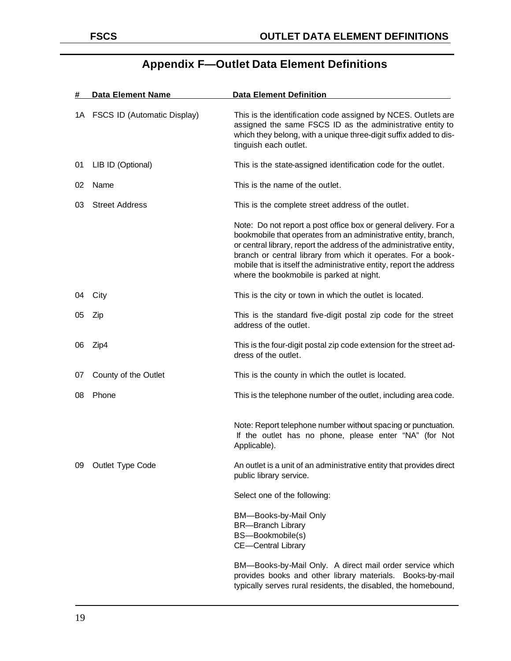| #  | <b>Data Element Name</b>       | <b>Data Element Definition</b>                                                                                                                                                                                                                                                                                                                                                                  |
|----|--------------------------------|-------------------------------------------------------------------------------------------------------------------------------------------------------------------------------------------------------------------------------------------------------------------------------------------------------------------------------------------------------------------------------------------------|
|    | 1A FSCS ID (Automatic Display) | This is the identification code assigned by NCES. Outlets are<br>assigned the same FSCS ID as the administrative entity to<br>which they belong, with a unique three-digit suffix added to dis-<br>tinguish each outlet.                                                                                                                                                                        |
| 01 | LIB ID (Optional)              | This is the state-assigned identification code for the outlet.                                                                                                                                                                                                                                                                                                                                  |
| 02 | Name                           | This is the name of the outlet.                                                                                                                                                                                                                                                                                                                                                                 |
| 03 | <b>Street Address</b>          | This is the complete street address of the outlet.                                                                                                                                                                                                                                                                                                                                              |
|    |                                | Note: Do not report a post office box or general delivery. For a<br>bookmobile that operates from an administrative entity, branch,<br>or central library, report the address of the administrative entity,<br>branch or central library from which it operates. For a book-<br>mobile that is itself the administrative entity, report the address<br>where the bookmobile is parked at night. |
| 04 | City                           | This is the city or town in which the outlet is located.                                                                                                                                                                                                                                                                                                                                        |
| 05 | Zip                            | This is the standard five-digit postal zip code for the street<br>address of the outlet.                                                                                                                                                                                                                                                                                                        |
| 06 | Zip4                           | This is the four-digit postal zip code extension for the street ad-<br>dress of the outlet.                                                                                                                                                                                                                                                                                                     |
| 07 | County of the Outlet           | This is the county in which the outlet is located.                                                                                                                                                                                                                                                                                                                                              |
| 08 | Phone                          | This is the telephone number of the outlet, including area code.                                                                                                                                                                                                                                                                                                                                |
|    |                                | Note: Report telephone number without spacing or punctuation.<br>If the outlet has no phone, please enter "NA" (for Not<br>Applicable).                                                                                                                                                                                                                                                         |
|    | 09 Outlet Type Code            | An outlet is a unit of an administrative entity that provides direct<br>public library service.                                                                                                                                                                                                                                                                                                 |
|    |                                | Select one of the following:                                                                                                                                                                                                                                                                                                                                                                    |
|    |                                | BM-Books-by-Mail Only<br><b>BR-Branch Library</b><br>BS-Bookmobile(s)<br><b>CE-Central Library</b>                                                                                                                                                                                                                                                                                              |
|    |                                | BM-Books-by-Mail Only. A direct mail order service which<br>provides books and other library materials. Books-by-mail<br>typically serves rural residents, the disabled, the homebound,                                                                                                                                                                                                         |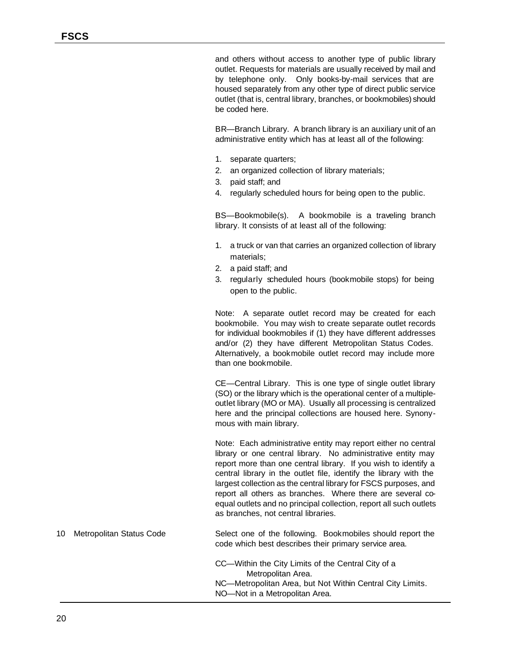and others without access to another type of public library outlet. Requests for materials are usually received by mail and by telephone only. Only books-by-mail services that are housed separately from any other type of direct public service outlet (that is, central library, branches, or bookmobiles) should be coded here.

BR—Branch Library. A branch library is an auxiliary unit of an administrative entity which has at least all of the following:

- 1. separate quarters;
- 2. an organized collection of library materials;
- 3. paid staff; and
- 4. regularly scheduled hours for being open to the public.

BS—Bookmobile(s). A bookmobile is a traveling branch library. It consists of at least all of the following:

- 1. a truck or van that carries an organized collection of library materials;
- 2. a paid staff; and
- 3. regularly scheduled hours (bookmobile stops) for being open to the public.

Note: A separate outlet record may be created for each bookmobile. You may wish to create separate outlet records for individual bookmobiles if (1) they have different addresses and/or (2) they have different Metropolitan Status Codes. Alternatively, a bookmobile outlet record may include more than one bookmobile.

CE—Central Library. This is one type of single outlet library (SO) or the library which is the operational center of a multipleoutlet library (MO or MA). Usually all processing is centralized here and the principal collections are housed here. Synonymous with main library.

Note: Each administrative entity may report either no central library or one central library. No administrative entity may report more than one central library. If you wish to identify a central library in the outlet file, identify the library with the largest collection as the central library for FSCS purposes, and report all others as branches. Where there are several coequal outlets and no principal collection, report all such outlets as branches, not central libraries.

## 10 Metropolitan Status Code Select one of the following. Bookmobiles should report the code which best describes their primary service area.

CC—Within the City Limits of the Central City of a Metropolitan Area. NC—Metropolitan Area, but Not Within Central City Limits. NO—Not in a Metropolitan Area.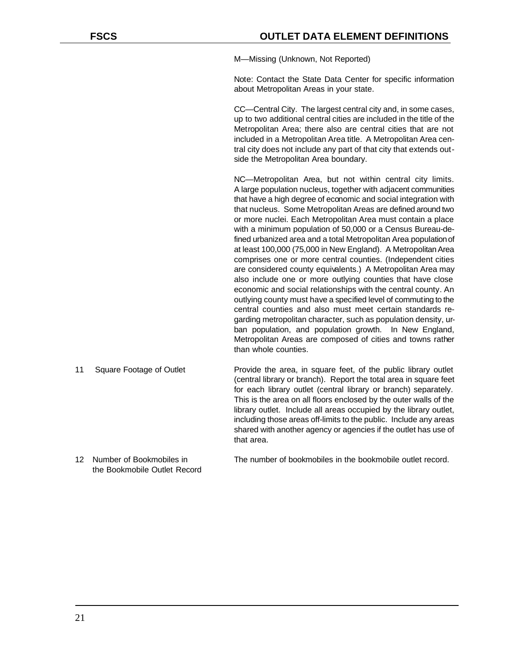M—Missing (Unknown, Not Reported)

Note: Contact the State Data Center for specific information about Metropolitan Areas in your state.

CC—Central City. The largest central city and, in some cases, up to two additional central cities are included in the title of the Metropolitan Area; there also are central cities that are not included in a Metropolitan Area title. A Metropolitan Area central city does not include any part of that city that extends outside the Metropolitan Area boundary.

NC—Metropolitan Area, but not within central city limits. A large population nucleus, together with adjacent communities that have a high degree of economic and social integration with that nucleus. Some Metropolitan Areas are defined around two or more nuclei. Each Metropolitan Area must contain a place with a minimum population of 50,000 or a Census Bureau-defined urbanized area and a total Metropolitan Area population of at least 100,000 (75,000 in New England). A Metropolitan Area comprises one or more central counties. (Independent cities are considered county equivalents.) A Metropolitan Area may also include one or more outlying counties that have close economic and social relationships with the central county. An outlying county must have a specified level of commuting to the central counties and also must meet certain standards regarding metropolitan character, such as population density, urban population, and population growth. In New England, Metropolitan Areas are composed of cities and towns rather than whole counties.

- 11 Square Footage of Outlet Provide the area, in square feet, of the public library outlet (central library or branch). Report the total area in square feet for each library outlet (central library or branch) separately. This is the area on all floors enclosed by the outer walls of the library outlet. Include all areas occupied by the library outlet, including those areas off-limits to the public. Include any areas shared with another agency or agencies if the outlet has use of that area.
- the Bookmobile Outlet Record

12 Number of Bookmobiles in The number of bookmobiles in the bookmobile outlet record.